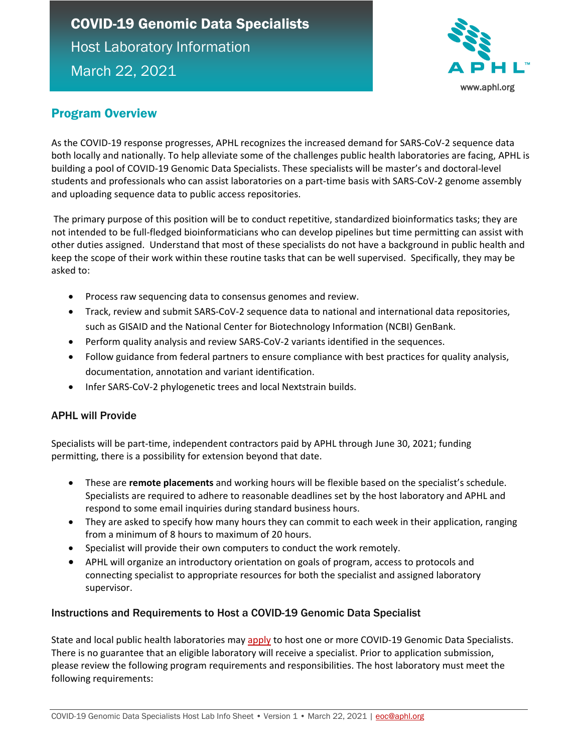# COVID-19 Genomic Data Specialists Host Laboratory Information March 22, 2021



### Program Overview

As the COVID-19 response progresses, APHL recognizes the increased demand for SARS-CoV-2 sequence data both locally and nationally. To help alleviate some of the challenges public health laboratories are facing, APHL is building a pool of COVID-19 Genomic Data Specialists. These specialists will be master's and doctoral-level students and professionals who can assist laboratories on a part-time basis with SARS-CoV-2 genome assembly and uploading sequence data to public access repositories.

The primary purpose of this position will be to conduct repetitive, standardized bioinformatics tasks; they are not intended to be full-fledged bioinformaticians who can develop pipelines but time permitting can assist with other duties assigned. Understand that most of these specialists do not have a background in public health and keep the scope of their work within these routine tasks that can be well supervised. Specifically, they may be asked to:

- Process raw sequencing data to consensus genomes and review.
- Track, review and submit SARS-CoV-2 sequence data to national and international data repositories, such as GISAID and the National Center for Biotechnology Information (NCBI) GenBank.
- Perform quality analysis and review SARS-CoV-2 variants identified in the sequences.
- Follow guidance from federal partners to ensure compliance with best practices for quality analysis, documentation, annotation and variant identification.
- Infer SARS-CoV-2 phylogenetic trees and local Nextstrain builds.

#### APHL will Provide

Specialists will be part-time, independent contractors paid by APHL through June 30, 2021; funding permitting, there is a possibility for extension beyond that date.

- These are **remote placements** and working hours will be flexible based on the specialist's schedule. Specialists are required to adhere to reasonable deadlines set by the host laboratory and APHL and respond to some email inquiries during standard business hours.
- They are asked to specify how many hours they can commit to each week in their application, ranging from a minimum of 8 hours to maximum of 20 hours.
- Specialist will provide their own computers to conduct the work remotely.
- APHL will organize an introductory orientation on goals of program, access to protocols and connecting specialist to appropriate resources for both the specialist and assigned laboratory supervisor.

#### Instructions and Requirements to Host a COVID-19 Genomic Data Specialist

State and local public health laboratories may [apply](https://www.surveymonkey.com/r/RJDLWX3) to host one or more COVID-19 Genomic Data Specialists. There is no guarantee that an eligible laboratory will receive a specialist. Prior to application submission, please review the following program requirements and responsibilities. The host laboratory must meet the following requirements: